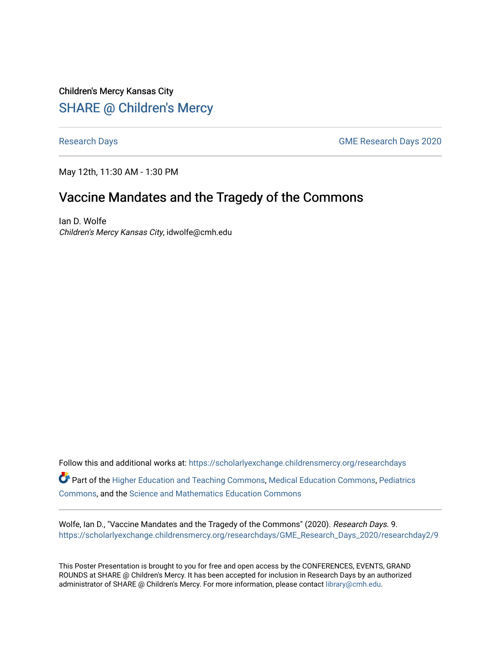Children's Mercy Kansas City **SHARE @ Children's Mercy** 

[Research Days](https://scholarlyexchange.childrensmercy.org/researchdays) [GME Research Days 2020](https://scholarlyexchange.childrensmercy.org/researchdays/GME_Research_Days_2020) 

May 12th, 11:30 AM - 1:30 PM

# Vaccine Mandates and the Tragedy of the Commons

Ian D. Wolfe Children's Mercy Kansas City, idwolfe@cmh.edu

Follow this and additional works at: [https://scholarlyexchange.childrensmercy.org/researchdays](https://scholarlyexchange.childrensmercy.org/researchdays?utm_source=scholarlyexchange.childrensmercy.org%2Fresearchdays%2FGME_Research_Days_2020%2Fresearchday2%2F9&utm_medium=PDF&utm_campaign=PDFCoverPages)  Part of the [Higher Education and Teaching Commons](http://network.bepress.com/hgg/discipline/806?utm_source=scholarlyexchange.childrensmercy.org%2Fresearchdays%2FGME_Research_Days_2020%2Fresearchday2%2F9&utm_medium=PDF&utm_campaign=PDFCoverPages), [Medical Education Commons](http://network.bepress.com/hgg/discipline/1125?utm_source=scholarlyexchange.childrensmercy.org%2Fresearchdays%2FGME_Research_Days_2020%2Fresearchday2%2F9&utm_medium=PDF&utm_campaign=PDFCoverPages), [Pediatrics](http://network.bepress.com/hgg/discipline/700?utm_source=scholarlyexchange.childrensmercy.org%2Fresearchdays%2FGME_Research_Days_2020%2Fresearchday2%2F9&utm_medium=PDF&utm_campaign=PDFCoverPages)  [Commons](http://network.bepress.com/hgg/discipline/700?utm_source=scholarlyexchange.childrensmercy.org%2Fresearchdays%2FGME_Research_Days_2020%2Fresearchday2%2F9&utm_medium=PDF&utm_campaign=PDFCoverPages), and the [Science and Mathematics Education Commons](http://network.bepress.com/hgg/discipline/800?utm_source=scholarlyexchange.childrensmercy.org%2Fresearchdays%2FGME_Research_Days_2020%2Fresearchday2%2F9&utm_medium=PDF&utm_campaign=PDFCoverPages) 

Wolfe, Ian D., "Vaccine Mandates and the Tragedy of the Commons" (2020). Research Days. 9. [https://scholarlyexchange.childrensmercy.org/researchdays/GME\\_Research\\_Days\\_2020/researchday2/9](https://scholarlyexchange.childrensmercy.org/researchdays/GME_Research_Days_2020/researchday2/9?utm_source=scholarlyexchange.childrensmercy.org%2Fresearchdays%2FGME_Research_Days_2020%2Fresearchday2%2F9&utm_medium=PDF&utm_campaign=PDFCoverPages)

This Poster Presentation is brought to you for free and open access by the CONFERENCES, EVENTS, GRAND ROUNDS at SHARE @ Children's Mercy. It has been accepted for inclusion in Research Days by an authorized administrator of SHARE @ Children's Mercy. For more information, please contact [library@cmh.edu.](mailto:library@cmh.edu)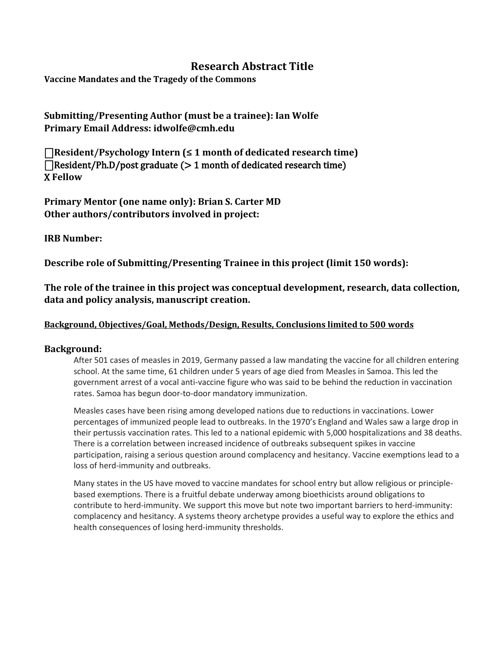## **Research Abstract Title**

**Vaccine Mandates and the Tragedy of the Commons**

### **Submitting/Presenting Author (must be a trainee): Ian Wolfe Primary Email Address: idwolfe@cmh.edu**

⎕**Resident/Psychology Intern (≤ 1 month of dedicated research time)**   $\Box$ Resident/Ph.D/post graduate ( $> 1$  month of dedicated research time) X **Fellow** 

**Primary Mentor (one name only): Brian S. Carter MD Other authors/contributors involved in project:**

#### **IRB Number:**

**Describe role of Submitting/Presenting Trainee in this project (limit 150 words):**

**The role of the trainee in this project was conceptual development, research, data collection, data and policy analysis, manuscript creation.**

#### **Background, Objectives/Goal, Methods/Design, Results, Conclusions limited to 500 words**

#### **Background:**

After 501 cases of measles in 2019, Germany passed a law mandating the vaccine for all children entering school. At the same time, 61 children under 5 years of age died from Measles in Samoa. This led the government arrest of a vocal anti-vaccine figure who was said to be behind the reduction in vaccination rates. Samoa has begun door-to-door mandatory immunization.

Measles cases have been rising among developed nations due to reductions in vaccinations. Lower percentages of immunized people lead to outbreaks. In the 1970's England and Wales saw a large drop in their pertussis vaccination rates. This led to a national epidemic with 5,000 hospitalizations and 38 deaths. There is a correlation between increased incidence of outbreaks subsequent spikes in vaccine participation, raising a serious question around complacency and hesitancy. Vaccine exemptions lead to a loss of herd-immunity and outbreaks.

Many states in the US have moved to vaccine mandates for school entry but allow religious or principlebased exemptions. There is a fruitful debate underway among bioethicists around obligations to contribute to herd-immunity. We support this move but note two important barriers to herd-immunity: complacency and hesitancy. A systems theory archetype provides a useful way to explore the ethics and health consequences of losing herd-immunity thresholds.